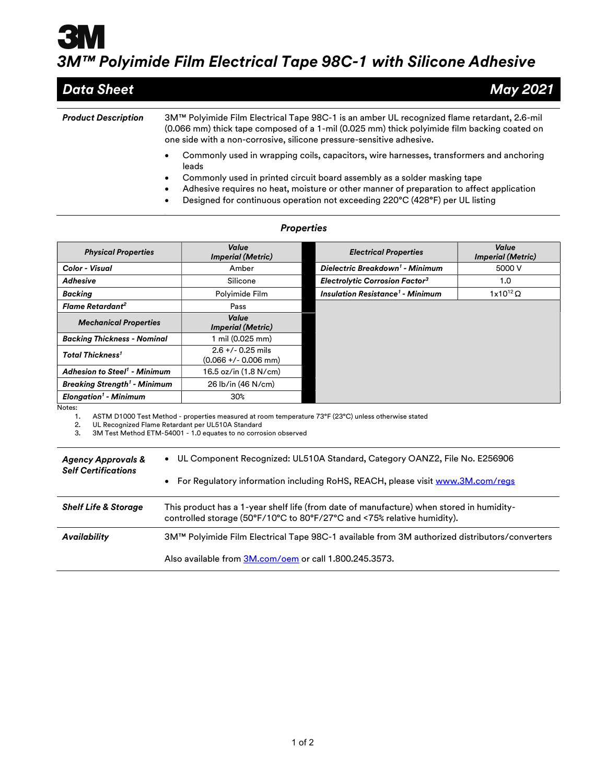## 3M™ Polyimide Film Electrical Tape 98C-1 with Silicone Adhesive

| <b>Data Sheet</b>          | May 2021                                                                                                                                                                                                                                                           |
|----------------------------|--------------------------------------------------------------------------------------------------------------------------------------------------------------------------------------------------------------------------------------------------------------------|
| <b>Product Description</b> | 3M™ Polyimide Film Electrical Tape 98C-1 is an amber UL recognized flame retardant, 2.6-mil<br>(0.066 mm) thick tape composed of a 1-mil (0.025 mm) thick polyimide film backing coated on<br>one side with a non-corrosive, silicone pressure-sensitive adhesive. |
|                            | Commonly used in wrapping coils, capacitors, wire harnesses, transformers and anchoring<br>٠<br>leads<br>Commonly used in printed circuit board assembly as a solder masking tape                                                                                  |

- Commonly used in printed circuit board assembly as a solder masking tape
- Adhesive requires no heat, moisture or other manner of preparation to affect application
- Designed for continuous operation not exceeding 220°C (428°F) per UL listing

| <b>Physical Properties</b>                     | Value<br><b>Imperial (Metric)</b>             | <b>Electrical Properties</b>                       | Value<br><b>Imperial (Metric)</b> |
|------------------------------------------------|-----------------------------------------------|----------------------------------------------------|-----------------------------------|
| Color - Visual                                 | Amber                                         | Dielectric Breakdown <sup>1</sup> - Minimum        | 5000 V                            |
| Adhesive                                       | Silicone                                      | <b>Electrolytic Corrosion Factor<sup>3</sup></b>   | 1.0                               |
| <b>Backing</b>                                 | Polyimide Film                                | <b>Insulation Resistance<sup>1</sup> - Minimum</b> | $1x10^{12}$ $\Omega$              |
| Flame Retardant <sup>2</sup>                   | Pass                                          |                                                    |                                   |
| <b>Mechanical Properties</b>                   | Value<br><b>Imperial (Metric)</b>             |                                                    |                                   |
| <b>Backing Thickness - Nominal</b>             | mil (0.025 mm)                                |                                                    |                                   |
| <b>Total Thickness<sup>1</sup></b>             | $2.6 +/- 0.25$ mils<br>$(0.066 +/- 0.006$ mm) |                                                    |                                   |
| <b>Adhesion to Steel<sup>1</sup> - Minimum</b> | 16.5 oz/in (1.8 N/cm)                         |                                                    |                                   |
| <b>Breaking Strength<sup>1</sup> - Minimum</b> | 26 lb/in (46 N/cm)                            |                                                    |                                   |
| <b>Elongation<sup>1</sup></b> - Minimum        | 30%                                           |                                                    |                                   |

## **Properties**

Notes:

1. ASTM D1000 Test Method - properties measured at room temperature 73°F (23°C) unless otherwise stated<br>2. UL Recognized Flame Retardant per UL510A Standard

2. UL Recognized Flame Retardant per UL510A Standard

3M Test Method ETM-54001 - 1.0 equates to no corrosion observed

| <b>Agency Approvals &amp;</b><br><b>Self Certifications</b> | • UL Component Recognized: UL510A Standard, Category OANZ2, File No. E256906<br>• For Regulatory information including RoHS, REACH, please visit www.3M.com/regs    |
|-------------------------------------------------------------|---------------------------------------------------------------------------------------------------------------------------------------------------------------------|
| <b>Shelf Life &amp; Storage</b>                             | This product has a 1-year shelf life (from date of manufacture) when stored in humidity-<br>controlled storage (50°F/10°C to 80°F/27°C and <75% relative humidity). |
| Availability                                                | 3M™ Polyimide Film Electrical Tape 98C-1 available from 3M authorized distributors/converters                                                                       |
|                                                             | Also available from 3M.com/oem or call 1.800.245.3573.                                                                                                              |